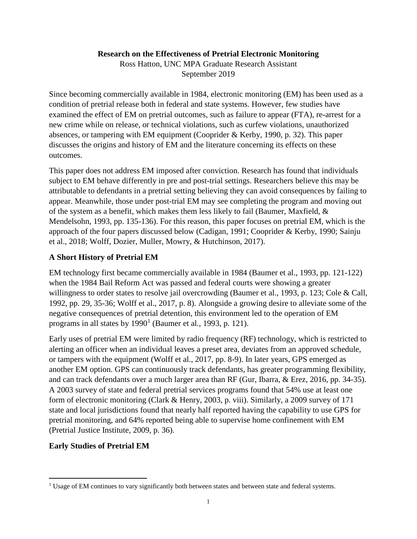## **Research on the Effectiveness of Pretrial Electronic Monitoring**

Ross Hatton, UNC MPA Graduate Research Assistant September 2019

Since becoming commercially available in 1984, electronic monitoring (EM) has been used as a condition of pretrial release both in federal and state systems. However, few studies have examined the effect of EM on pretrial outcomes, such as failure to appear (FTA), re-arrest for a new crime while on release, or technical violations, such as curfew violations, unauthorized absences, or tampering with EM equipment (Cooprider & Kerby, 1990, p. 32). This paper discusses the origins and history of EM and the literature concerning its effects on these outcomes.

This paper does not address EM imposed after conviction. Research has found that individuals subject to EM behave differently in pre and post-trial settings. Researchers believe this may be attributable to defendants in a pretrial setting believing they can avoid consequences by failing to appear. Meanwhile, those under post-trial EM may see completing the program and moving out of the system as a benefit, which makes them less likely to fail (Baumer, Maxfield,  $\&$ Mendelsohn, 1993, pp. 135-136). For this reason, this paper focuses on pretrial EM, which is the approach of the four papers discussed below (Cadigan, 1991; Cooprider & Kerby, 1990; Sainju et al., 2018; Wolff, Dozier, Muller, Mowry, & Hutchinson, 2017).

# **A Short History of Pretrial EM**

EM technology first became commercially available in 1984 (Baumer et al., 1993, pp. 121-122) when the 1984 Bail Reform Act was passed and federal courts were showing a greater willingness to order states to resolve jail overcrowding (Baumer et al., 1993, p. 123; Cole & Call, 1992, pp. 29, 35-36; Wolff et al., 2017, p. 8). Alongside a growing desire to alleviate some of the negative consequences of pretrial detention, this environment led to the operation of EM programs in all states by  $1990<sup>1</sup>$  $1990<sup>1</sup>$  (Baumer et al., 1993, p. 121).

Early uses of pretrial EM were limited by radio frequency (RF) technology, which is restricted to alerting an officer when an individual leaves a preset area, deviates from an approved schedule, or tampers with the equipment (Wolff et al., 2017, pp. 8-9). In later years, GPS emerged as another EM option. GPS can continuously track defendants, has greater programming flexibility, and can track defendants over a much larger area than RF (Gur, Ibarra, & Erez, 2016, pp. 34-35). A 2003 survey of state and federal pretrial services programs found that 54% use at least one form of electronic monitoring (Clark & Henry, 2003, p. viii). Similarly, a 2009 survey of 171 state and local jurisdictions found that nearly half reported having the capability to use GPS for pretrial monitoring, and 64% reported being able to supervise home confinement with EM (Pretrial Justice Institute, 2009, p. 36).

# **Early Studies of Pretrial EM**

<span id="page-0-0"></span><sup>&</sup>lt;sup>1</sup> Usage of EM continues to vary significantly both between states and between state and federal systems.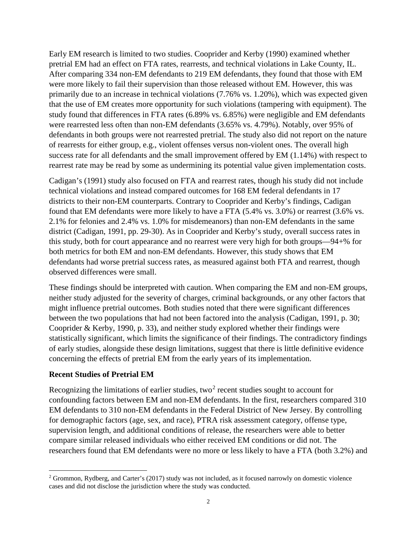Early EM research is limited to two studies. Cooprider and Kerby (1990) examined whether pretrial EM had an effect on FTA rates, rearrests, and technical violations in Lake County, IL. After comparing 334 non-EM defendants to 219 EM defendants, they found that those with EM were more likely to fail their supervision than those released without EM. However, this was primarily due to an increase in technical violations (7.76% vs. 1.20%), which was expected given that the use of EM creates more opportunity for such violations (tampering with equipment). The study found that differences in FTA rates (6.89% vs. 6.85%) were negligible and EM defendants were rearrested less often than non-EM defendants (3.65% vs. 4.79%). Notably, over 95% of defendants in both groups were not rearrested pretrial. The study also did not report on the nature of rearrests for either group, e.g., violent offenses versus non-violent ones. The overall high success rate for all defendants and the small improvement offered by EM (1.14%) with respect to rearrest rate may be read by some as undermining its potential value given implementation costs.

Cadigan's (1991) study also focused on FTA and rearrest rates, though his study did not include technical violations and instead compared outcomes for 168 EM federal defendants in 17 districts to their non-EM counterparts. Contrary to Cooprider and Kerby's findings, Cadigan found that EM defendants were more likely to have a FTA (5.4% vs. 3.0%) or rearrest (3.6% vs. 2.1% for felonies and 2.4% vs. 1.0% for misdemeanors) than non-EM defendants in the same district (Cadigan, 1991, pp. 29-30). As in Cooprider and Kerby's study, overall success rates in this study, both for court appearance and no rearrest were very high for both groups—94+% for both metrics for both EM and non-EM defendants. However, this study shows that EM defendants had worse pretrial success rates, as measured against both FTA and rearrest, though observed differences were small.

These findings should be interpreted with caution. When comparing the EM and non-EM groups, neither study adjusted for the severity of charges, criminal backgrounds, or any other factors that might influence pretrial outcomes. Both studies noted that there were significant differences between the two populations that had not been factored into the analysis (Cadigan, 1991, p. 30; Cooprider & Kerby, 1990, p. 33), and neither study explored whether their findings were statistically significant, which limits the significance of their findings. The contradictory findings of early studies, alongside these design limitations, suggest that there is little definitive evidence concerning the effects of pretrial EM from the early years of its implementation.

# **Recent Studies of Pretrial EM**

Recognizing the limitations of earlier studies, two<sup>[2](#page-1-0)</sup> recent studies sought to account for confounding factors between EM and non-EM defendants. In the first, researchers compared 310 EM defendants to 310 non-EM defendants in the Federal District of New Jersey. By controlling for demographic factors (age, sex, and race), PTRA risk assessment category, offense type, supervision length, and additional conditions of release, the researchers were able to better compare similar released individuals who either received EM conditions or did not. The researchers found that EM defendants were no more or less likely to have a FTA (both 3.2%) and

<span id="page-1-0"></span> <sup>2</sup> Grommon, Rydberg, and Carter's (2017) study was not included, as it focused narrowly on domestic violence cases and did not disclose the jurisdiction where the study was conducted.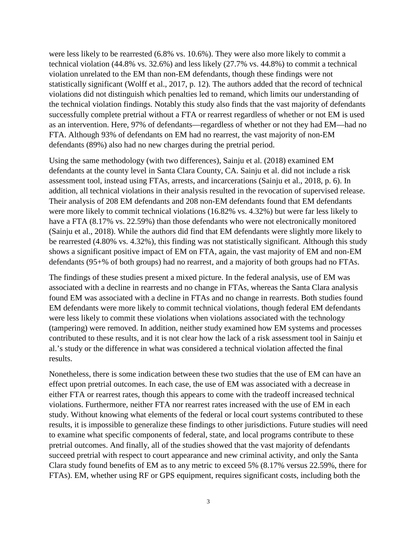were less likely to be rearrested (6.8% vs. 10.6%). They were also more likely to commit a technical violation (44.8% vs. 32.6%) and less likely (27.7% vs. 44.8%) to commit a technical violation unrelated to the EM than non-EM defendants, though these findings were not statistically significant (Wolff et al., 2017, p. 12). The authors added that the record of technical violations did not distinguish which penalties led to remand, which limits our understanding of the technical violation findings. Notably this study also finds that the vast majority of defendants successfully complete pretrial without a FTA or rearrest regardless of whether or not EM is used as an intervention. Here, 97% of defendants—regardless of whether or not they had EM—had no FTA. Although 93% of defendants on EM had no rearrest, the vast majority of non-EM defendants (89%) also had no new charges during the pretrial period.

Using the same methodology (with two differences), Sainju et al. (2018) examined EM defendants at the county level in Santa Clara County, CA. Sainju et al. did not include a risk assessment tool, instead using FTAs, arrests, and incarcerations (Sainju et al., 2018, p. 6). In addition, all technical violations in their analysis resulted in the revocation of supervised release. Their analysis of 208 EM defendants and 208 non-EM defendants found that EM defendants were more likely to commit technical violations (16.82% vs. 4.32%) but were far less likely to have a FTA (8.17% vs. 22.59%) than those defendants who were not electronically monitored (Sainju et al., 2018). While the authors did find that EM defendants were slightly more likely to be rearrested (4.80% vs. 4.32%), this finding was not statistically significant. Although this study shows a significant positive impact of EM on FTA, again, the vast majority of EM and non-EM defendants (95+% of both groups) had no rearrest, and a majority of both groups had no FTAs.

The findings of these studies present a mixed picture. In the federal analysis, use of EM was associated with a decline in rearrests and no change in FTAs, whereas the Santa Clara analysis found EM was associated with a decline in FTAs and no change in rearrests. Both studies found EM defendants were more likely to commit technical violations, though federal EM defendants were less likely to commit these violations when violations associated with the technology (tampering) were removed. In addition, neither study examined how EM systems and processes contributed to these results, and it is not clear how the lack of a risk assessment tool in Sainju et al.'s study or the difference in what was considered a technical violation affected the final results.

Nonetheless, there is some indication between these two studies that the use of EM can have an effect upon pretrial outcomes. In each case, the use of EM was associated with a decrease in either FTA or rearrest rates, though this appears to come with the tradeoff increased technical violations. Furthermore, neither FTA nor rearrest rates increased with the use of EM in each study. Without knowing what elements of the federal or local court systems contributed to these results, it is impossible to generalize these findings to other jurisdictions. Future studies will need to examine what specific components of federal, state, and local programs contribute to these pretrial outcomes. And finally, all of the studies showed that the vast majority of defendants succeed pretrial with respect to court appearance and new criminal activity, and only the Santa Clara study found benefits of EM as to any metric to exceed 5% (8.17% versus 22.59%, there for FTAs). EM, whether using RF or GPS equipment, requires significant costs, including both the